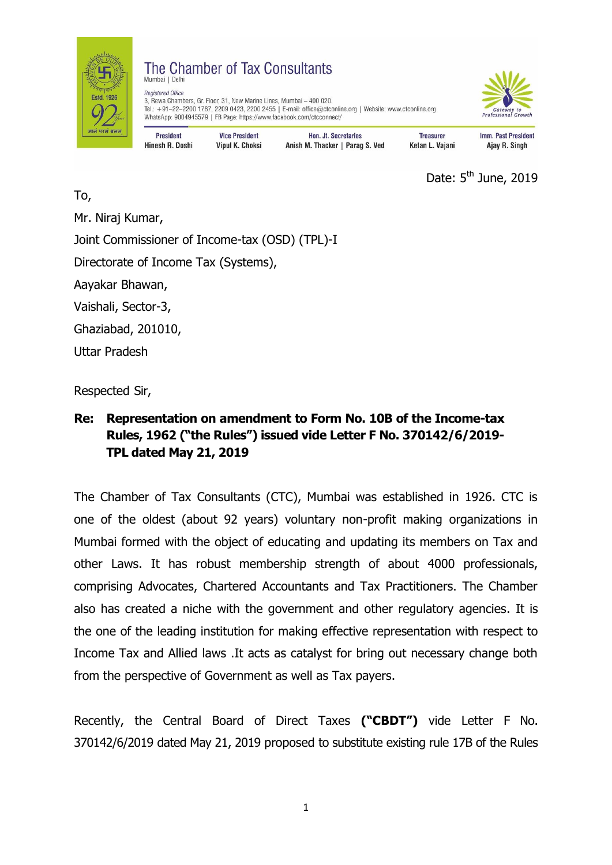

To,

## The Chamber of Tax Consultants Mumbai | Delh





**Vice President** Vipul K. Choksi

Hon. Jt. Secretaries Anish M. Thacker | Parag S. Ved

**Treasurer** Ketan L. Vaiani

Imm. Past President Ajay R. Singh

Date:  $5<sup>th</sup>$  June, 2019

Mr. Niraj Kumar, Joint Commissioner of Income-tax (OSD) (TPL)-I Directorate of Income Tax (Systems), Aayakar Bhawan, Vaishali, Sector-3, Ghaziabad, 201010, Uttar Pradesh

Respected Sir,

## **Re: Representation on amendment to Form No. 10B of the Income-tax Rules, 1962 ("the Rules") issued vide Letter F No. 370142/6/2019- TPL dated May 21, 2019**

The Chamber of Tax Consultants (CTC), Mumbai was established in 1926. CTC is one of the oldest (about 92 years) voluntary non-profit making organizations in Mumbai formed with the object of educating and updating its members on Tax and other Laws. It has robust membership strength of about 4000 professionals, comprising Advocates, Chartered Accountants and Tax Practitioners. The Chamber also has created a niche with the government and other regulatory agencies. It is the one of the leading institution for making effective representation with respect to Income Tax and Allied laws .It acts as catalyst for bring out necessary change both from the perspective of Government as well as Tax payers.

Recently, the Central Board of Direct Taxes **("CBDT")** vide Letter F No. 370142/6/2019 dated May 21, 2019 proposed to substitute existing rule 17B of the Rules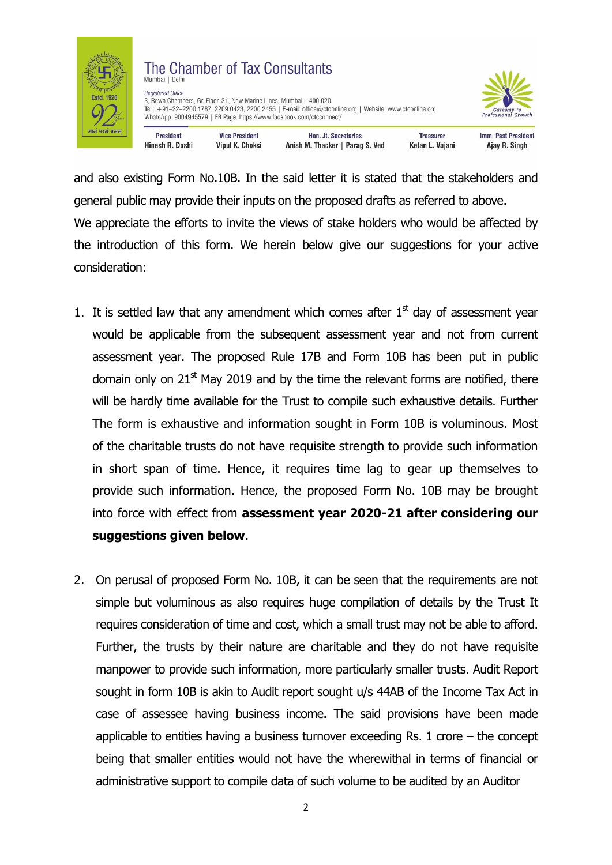

and also existing Form No.10B. In the said letter it is stated that the stakeholders and general public may provide their inputs on the proposed drafts as referred to above. We appreciate the efforts to invite the views of stake holders who would be affected by the introduction of this form. We herein below give our suggestions for your active consideration:

- 1. It is settled law that any amendment which comes after  $1<sup>st</sup>$  day of assessment year would be applicable from the subsequent assessment year and not from current assessment year. The proposed Rule 17B and Form 10B has been put in public domain only on  $21<sup>st</sup>$  May 2019 and by the time the relevant forms are notified, there will be hardly time available for the Trust to compile such exhaustive details. Further The form is exhaustive and information sought in Form 10B is voluminous. Most of the charitable trusts do not have requisite strength to provide such information in short span of time. Hence, it requires time lag to gear up themselves to provide such information. Hence, the proposed Form No. 10B may be brought into force with effect from **assessment year 2020-21 after considering our suggestions given below**.
- 2. On perusal of proposed Form No. 10B, it can be seen that the requirements are not simple but voluminous as also requires huge compilation of details by the Trust It requires consideration of time and cost, which a small trust may not be able to afford. Further, the trusts by their nature are charitable and they do not have requisite manpower to provide such information, more particularly smaller trusts. Audit Report sought in form 10B is akin to Audit report sought u/s 44AB of the Income Tax Act in case of assessee having business income. The said provisions have been made applicable to entities having a business turnover exceeding Rs. 1 crore – the concept being that smaller entities would not have the wherewithal in terms of financial or administrative support to compile data of such volume to be audited by an Auditor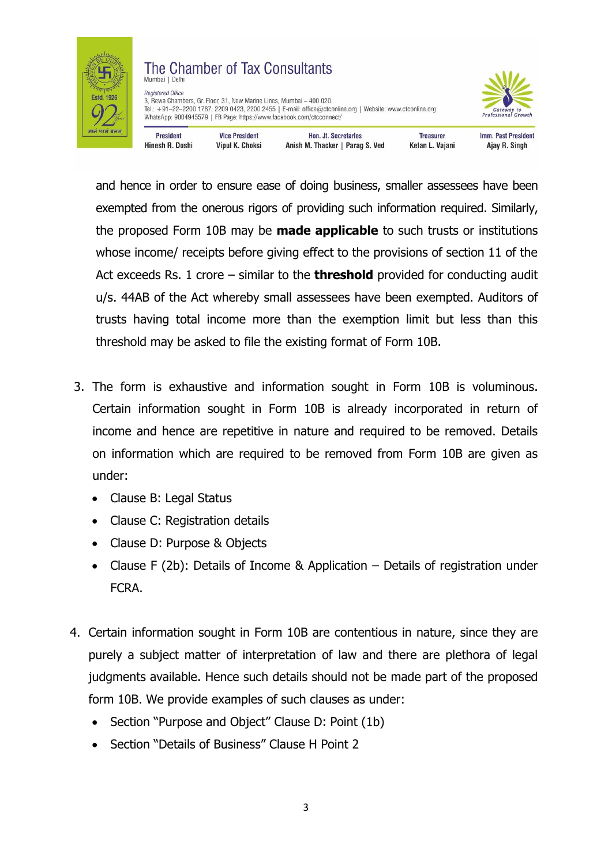

and hence in order to ensure ease of doing business, smaller assessees have been exempted from the onerous rigors of providing such information required. Similarly, the proposed Form 10B may be **made applicable** to such trusts or institutions whose income/ receipts before giving effect to the provisions of section 11 of the Act exceeds Rs. 1 crore – similar to the **threshold** provided for conducting audit u/s. 44AB of the Act whereby small assessees have been exempted. Auditors of trusts having total income more than the exemption limit but less than this threshold may be asked to file the existing format of Form 10B.

- 3. The form is exhaustive and information sought in Form 10B is voluminous. Certain information sought in Form 10B is already incorporated in return of income and hence are repetitive in nature and required to be removed. Details on information which are required to be removed from Form 10B are given as under:
	- Clause B: Legal Status
	- Clause C: Registration details
	- Clause D: Purpose & Objects
	- Clause F (2b): Details of Income & Application Details of registration under FCRA.
- 4. Certain information sought in Form 10B are contentious in nature, since they are purely a subject matter of interpretation of law and there are plethora of legal judgments available. Hence such details should not be made part of the proposed form 10B. We provide examples of such clauses as under:
	- Section "Purpose and Object" Clause D: Point (1b)
	- Section "Details of Business" Clause H Point 2